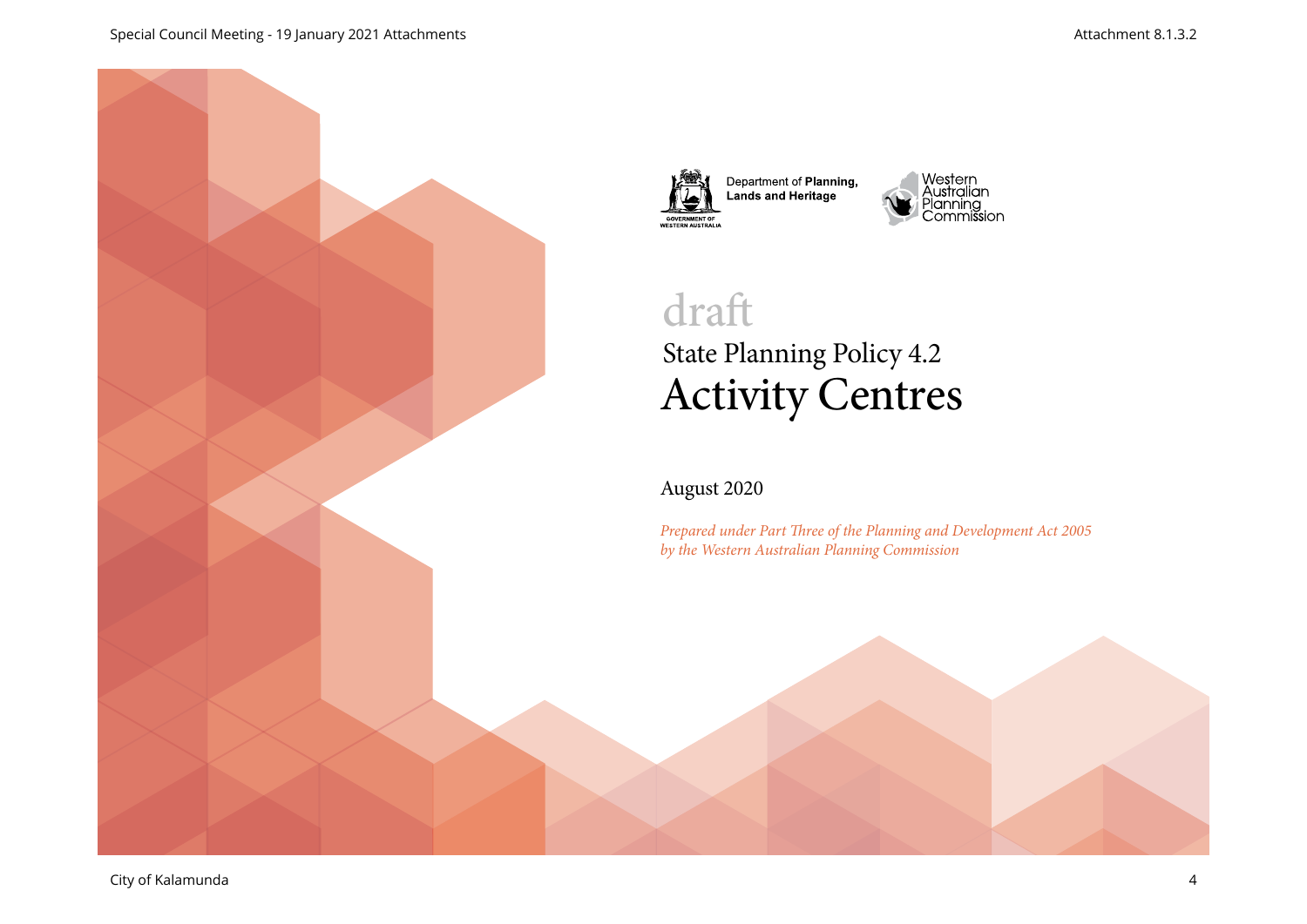



Department of Planning,<br>Lands and Heritage



# State Planning Policy 4.2 Activity Centres draft

### August 2020

*Prepared under Part Three of the Planning and Development Act 2005 by the Western Australian Planning Commission*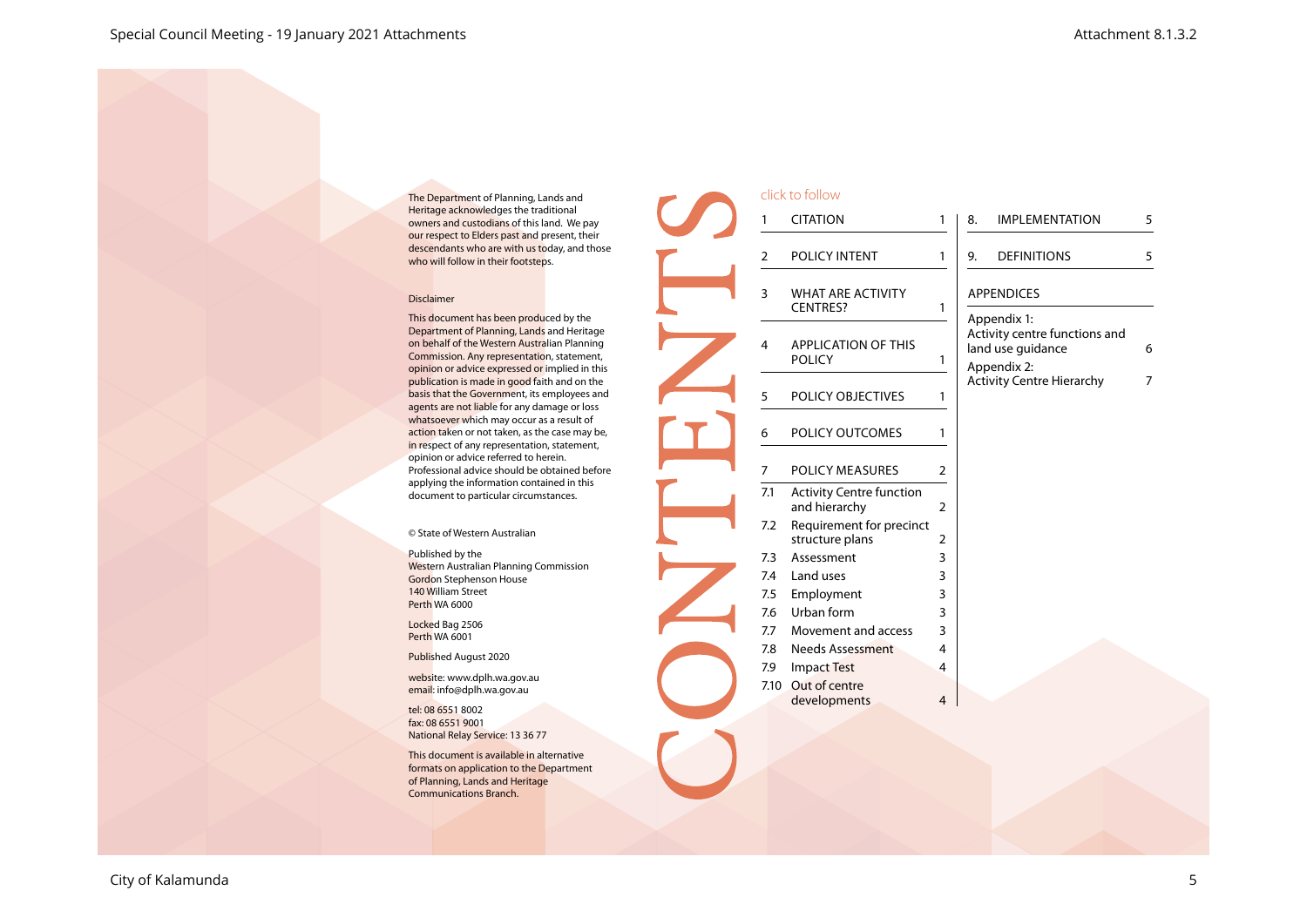The Department of Planning, Lands and Heritage acknowledges the traditional owners and custodians of this land. We pay our respect to Elders past and present, their descendants who are with us today, and those who will follow in their footsteps.

#### Disclaimer

This document has been produced by the Department of Planning, Lands and Heritage on behalf of the Western Australian Planning Commission. Any representation, statement, opinion or advice expressed or implied in this publication is made in good faith and on the basis that the Government, its employees and agents are not liable for any damage or loss whatsoever which may occur as a result of action taken or not taken, as the case may be, in respect of any representation, statement, opinion or advice referred to herein. Professional advice should be obtained before applying the information contained in this document to particular circumstances.

© State of Western Australian

Published by the Western Australian Planning Commission Gordon Stephenson House 140 William Street Perth WA 6000

Locked Bag 2506 Perth WA 6001

Published August 2020

website: www.dplh.wa.gov.au email: info@dplh.wa.gov.au

tel: 08 6551 8002 fax: 08 6551 9001 National Relay Service: 13 36 77

This document is available in alternative formats on application to the Department of Planning, Lands and Heritage Communications Branch.

|                | click to follow                                  |                |                                                                                  |   |  |  |
|----------------|--------------------------------------------------|----------------|----------------------------------------------------------------------------------|---|--|--|
| 1              | <b>CITATION</b>                                  | 1              | <b>IMPLEMENTATION</b><br>8.                                                      | 5 |  |  |
| $\overline{2}$ | POLICY INTENT                                    | 1              | <b>DEFINITIONS</b><br>9.                                                         | 5 |  |  |
| 3              | <b>WHAT ARE ACTIVITY</b><br><b>CENTRES?</b>      | 1              | <b>APPENDICES</b>                                                                |   |  |  |
| 4              | <b>APPLICATION OF THIS</b><br><b>POLICY</b>      | 1              | Appendix 1:<br>Activity centre functions and<br>land use guidance<br>Appendix 2: | 6 |  |  |
| 5              | POLICY OBJECTIVES                                | 1              | <b>Activity Centre Hierarchy</b>                                                 | 7 |  |  |
| 6              | POLICY OUTCOMES                                  | 1              |                                                                                  |   |  |  |
| 7              | <b>POLICY MEASURES</b>                           | 2              |                                                                                  |   |  |  |
| 7.1            | <b>Activity Centre function</b><br>and hierarchy | $\overline{2}$ |                                                                                  |   |  |  |
| 7.2            | Requirement for precinct<br>structure plans      | 2              |                                                                                  |   |  |  |
| 7.3            | Assessment                                       | 3              |                                                                                  |   |  |  |
| 7.4            | Land uses                                        | 3              |                                                                                  |   |  |  |
| 7.5            | Employment                                       | 3              |                                                                                  |   |  |  |
| 7.6            | Urban form                                       | 3              |                                                                                  |   |  |  |
| 7.7            | Movement and access                              | 3              |                                                                                  |   |  |  |
| 7.8            | <b>Needs Assessment</b>                          | 4              |                                                                                  |   |  |  |
| 7.9            | <b>Impact Test</b>                               | 4              |                                                                                  |   |  |  |
| 7.10           | Out of centre<br>developments                    | 4              |                                                                                  |   |  |  |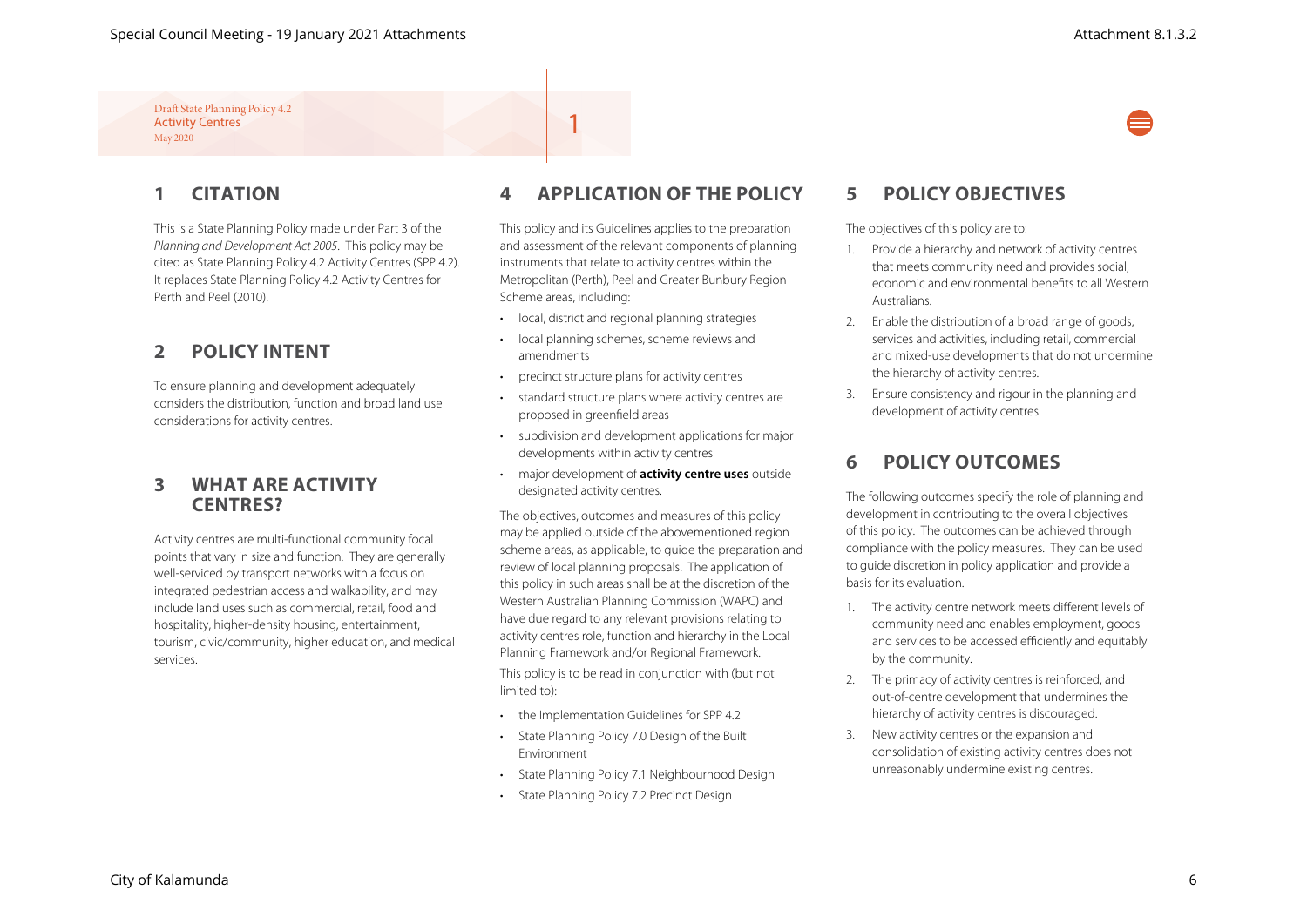# **1 CITATION**

This is a State Planning Policy made under Part 3 of the *Planning and Development Act 2005*. This policy may be cited as State Planning Policy 4.2 Activity Centres (SPP 4.2). It replaces State Planning Policy 4.2 Activity Centres for Perth and Peel (2010).

# **2 POLICY INTENT**

To ensure planning and development adequately considers the distribution, function and broad land use considerations for activity centres.

### **3 WHAT ARE ACTIVITY CENTRES?**

Activity centres are multi-functional community focal points that vary in size and function. They are generally well-serviced by transport networks with a focus on integrated pedestrian access and walkability, and may include land uses such as commercial, retail, food and hospitality, higher-density housing, entertainment, tourism, civic/community, higher education, and medical services.

# **4 APPLICATION OF THE POLICY**

This policy and its Guidelines applies to the preparation and assessment of the relevant components of planning instruments that relate to activity centres within the Metropolitan (Perth), Peel and Greater Bunbury Region Scheme areas, including:

• local, district and regional planning strategies

1

- local planning schemes, scheme reviews and amendments
- precinct structure plans for activity centres
- standard structure plans where activity centres are proposed in greenfield areas
- subdivision and development applications for major developments within activity centres
- major development of **activity centre uses** outside designated activity centres.

The objectives, outcomes and measures of this policy may be applied outside of the abovementioned region scheme areas, as applicable, to guide the preparation and review of local planning proposals. The application of this policy in such areas shall be at the discretion of the Western Australian Planning Commission (WAPC) and have due regard to any relevant provisions relating to activity centres role, function and hierarchy in the Local Planning Framework and/or Regional Framework. This policy is to be read in conjunction with (but not

limited to):

- the Implementation Guidelines for SPP 4.2
- State Planning Policy 7.0 Design of the Built Environment
- State Planning Policy 7.1 Neighbourhood Design
- State Planning Policy 7.2 Precinct Design

## **5 POLICY OBJECTIVES**

The objectives of this policy are to:

- 1. Provide a hierarchy and network of activity centres that meets community need and provides social, economic and environmental benefits to all Western Australians.
- 2. Enable the distribution of a broad range of goods, services and activities, including retail, commercial and mixed-use developments that do not undermine the hierarchy of activity centres.
- 3. Ensure consistency and rigour in the planning and development of activity centres.

# **6 POLICY OUTCOMES**

The following outcomes specify the role of planning and development in contributing to the overall objectives of this policy. The outcomes can be achieved through compliance with the policy measures. They can be used to guide discretion in policy application and provide a basis for its evaluation.

- 1. The activity centre network meets different levels of community need and enables employment, goods and services to be accessed efficiently and equitably by the community.
- 2. The primacy of activity centres is reinforced, and out-of-centre development that undermines the hierarchy of activity centres is discouraged.
- 3. New activity centres or the expansion and consolidation of existing activity centres does not unreasonably undermine existing centres.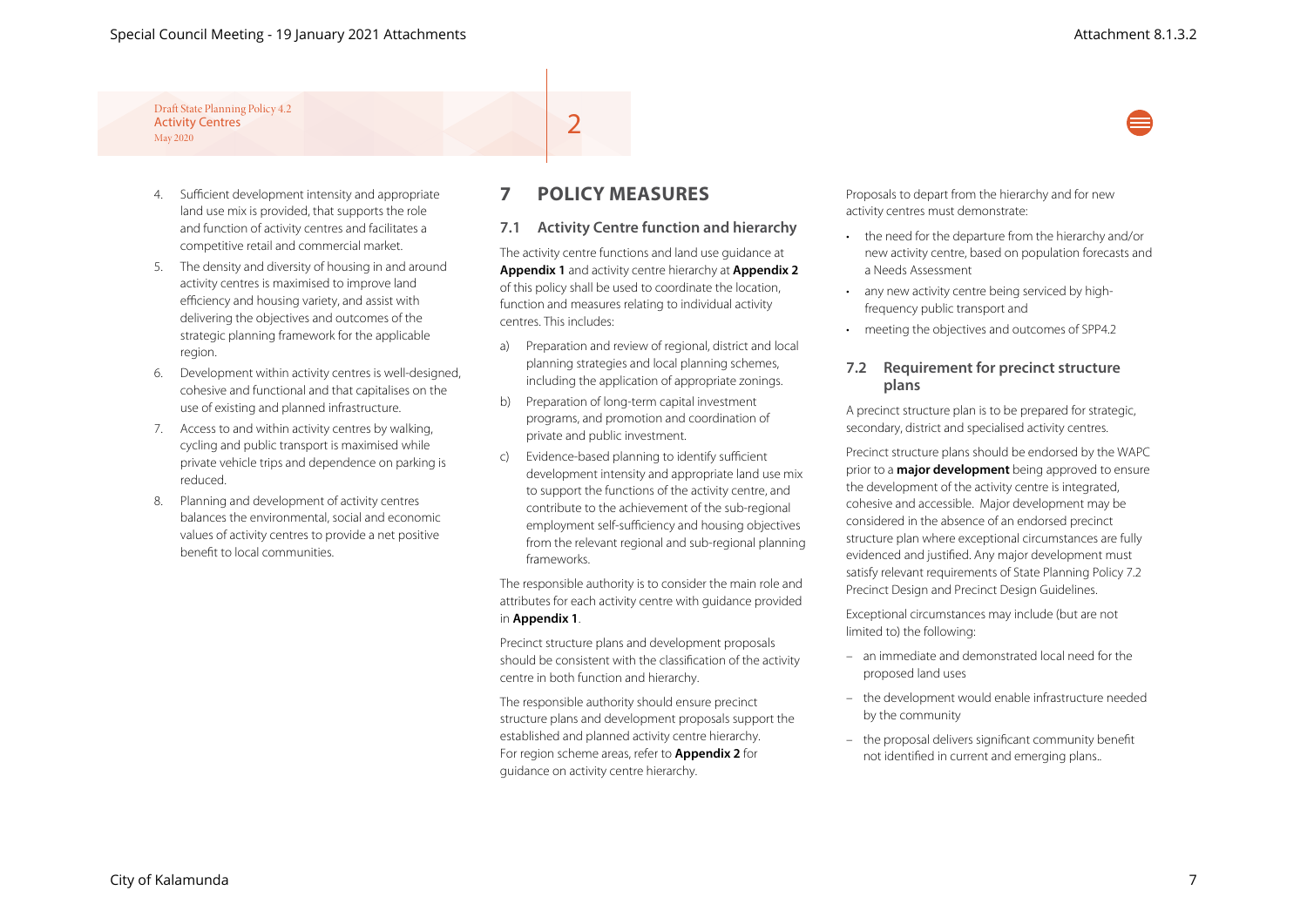- 4. Sufficient development intensity and appropriate land use mix is provided, that supports the role and function of activity centres and facilitates a competitive retail and commercial market.
- 5. The density and diversity of housing in and around activity centres is maximised to improve land efficiency and housing variety, and assist with delivering the objectives and outcomes of the strategic planning framework for the applicable region.
- 6. Development within activity centres is well-designed, cohesive and functional and that capitalises on the use of existing and planned infrastructure.
- 7. Access to and within activity centres by walking, cycling and public transport is maximised while private vehicle trips and dependence on parking is reduced.
- 8. Planning and development of activity centres balances the environmental, social and economic values of activity centres to provide a net positive benefit to local communities.

### **7 POLICY MEASURES**

2

#### **7.1 Activity Centre function and hierarchy**

The activity centre functions and land use guidance at **Appendix 1** and activity centre hierarchy at **Appendix 2** of this policy shall be used to coordinate the location, function and measures relating to individual activity centres. This includes:

- a) Preparation and review of regional, district and local planning strategies and local planning schemes, including the application of appropriate zonings.
- b) Preparation of long-term capital investment programs, and promotion and coordination of private and public investment.
- c) Evidence-based planning to identify sufficient development intensity and appropriate land use mix to support the functions of the activity centre, and contribute to the achievement of the sub-regional employment self-sufficiency and housing objectives from the relevant regional and sub-regional planning frameworks.

The responsible authority is to consider the main role and attributes for each activity centre with guidance provided in **Appendix 1**.

Precinct structure plans and development proposals should be consistent with the classification of the activity centre in both function and hierarchy.

The responsible authority should ensure precinct structure plans and development proposals support the established and planned activity centre hierarchy. For region scheme areas, refer to **Appendix 2** for guidance on activity centre hierarchy.

Proposals to depart from the hierarchy and for new activity centres must demonstrate:

- the need for the departure from the hierarchy and/or new activity centre, based on population forecasts and a Needs Assessment
- any new activity centre being serviced by highfrequency public transport and
- meeting the objectives and outcomes of SPP4.2

#### **7.2 Requirement for precinct structure plans**

A precinct structure plan is to be prepared for strategic, secondary, district and specialised activity centres.

Precinct structure plans should be endorsed by the WAPC prior to a **major development** being approved to ensure the development of the activity centre is integrated, cohesive and accessible. Major development may be considered in the absence of an endorsed precinct structure plan where exceptional circumstances are fully evidenced and justified. Any major development must satisfy relevant requirements of State Planning Policy 7.2 Precinct Design and Precinct Design Guidelines.

Exceptional circumstances may include (but are not limited to) the following:

- an immediate and demonstrated local need for the proposed land uses
- the development would enable infrastructure needed by the community
- the proposal delivers significant community benefit not identified in current and emerging plans..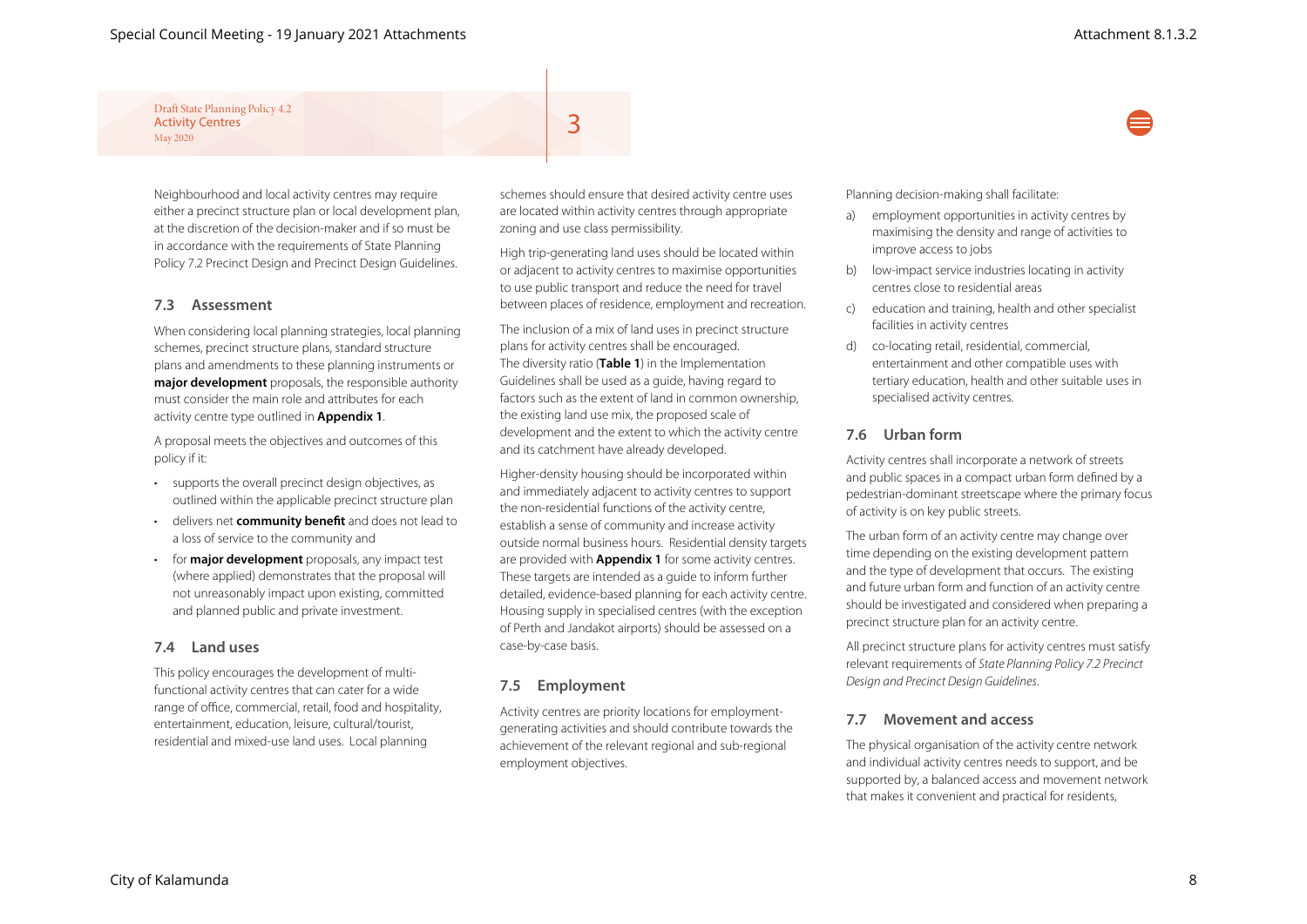Neighbourhood and local activity centres may require either a precinct structure plan or local development plan, at the discretion of the decision-maker and if so must be in accordance with the requirements of State Planning Policy 7.2 Precinct Design and Precinct Design Guidelines.

#### **7.3 Assessment**

When considering local planning strategies, local planning schemes, precinct structure plans, standard structure plans and amendments to these planning instruments or **major development** proposals, the responsible authority must consider the main role and attributes for each activity centre type outlined in **Appendix 1**.

A proposal meets the objectives and outcomes of this policy if it:

- supports the overall precinct design objectives, as outlined within the applicable precinct structure plan
- delivers net **community benefit** and does not lead to a loss of service to the community and
- for **major development** proposals, any impact test (where applied) demonstrates that the proposal will not unreasonably impact upon existing, committed and planned public and private investment.

#### **7.4 Land uses**

This policy encourages the development of multifunctional activity centres that can cater for a wide range of office, commercial, retail, food and hospitality, entertainment, education, leisure, cultural/tourist, residential and mixed-use land uses. Local planning

schemes should ensure that desired activity centre uses are located within activity centres through appropriate zoning and use class permissibility.

3

High trip-generating land uses should be located within or adjacent to activity centres to maximise opportunities to use public transport and reduce the need for travel between places of residence, employment and recreation.

The inclusion of a mix of land uses in precinct structure plans for activity centres shall be encouraged. The diversity ratio (**Table 1**) in the Implementation Guidelines shall be used as a guide, having regard to factors such as the extent of land in common ownership, the existing land use mix, the proposed scale of development and the extent to which the activity centre and its catchment have already developed.

Higher-density housing should be incorporated within and immediately adjacent to activity centres to support the non-residential functions of the activity centre, establish a sense of community and increase activity outside normal business hours. Residential density targets are provided with **Appendix 1** for some activity centres. These targets are intended as a guide to inform further detailed, evidence-based planning for each activity centre. Housing supply in specialised centres (with the exception of Perth and Jandakot airports) should be assessed on a case-by-case basis.

#### **7.5 Employment**

Activity centres are priority locations for employmentgenerating activities and should contribute towards the achievement of the relevant regional and sub-regional employment objectives.

Planning decision-making shall facilitate:

- a) employment opportunities in activity centres by maximising the density and range of activities to improve access to jobs
- b) low-impact service industries locating in activity centres close to residential areas
- c) education and training, health and other specialist facilities in activity centres
- d) co-locating retail, residential, commercial, entertainment and other compatible uses with tertiary education, health and other suitable uses in specialised activity centres.

#### **7.6 Urban form**

Activity centres shall incorporate a network of streets and public spaces in a compact urban form defined by a pedestrian-dominant streetscape where the primary focus of activity is on key public streets.

The urban form of an activity centre may change over time depending on the existing development pattern and the type of development that occurs. The existing and future urban form and function of an activity centre should be investigated and considered when preparing a precinct structure plan for an activity centre.

All precinct structure plans for activity centres must satisfy relevant requirements of *State Planning Policy 7.2 Precinct Design and Precinct Design Guidelines*.

#### **7.7 Movement and access**

The physical organisation of the activity centre network and individual activity centres needs to support, and be supported by, a balanced access and movement network that makes it convenient and practical for residents,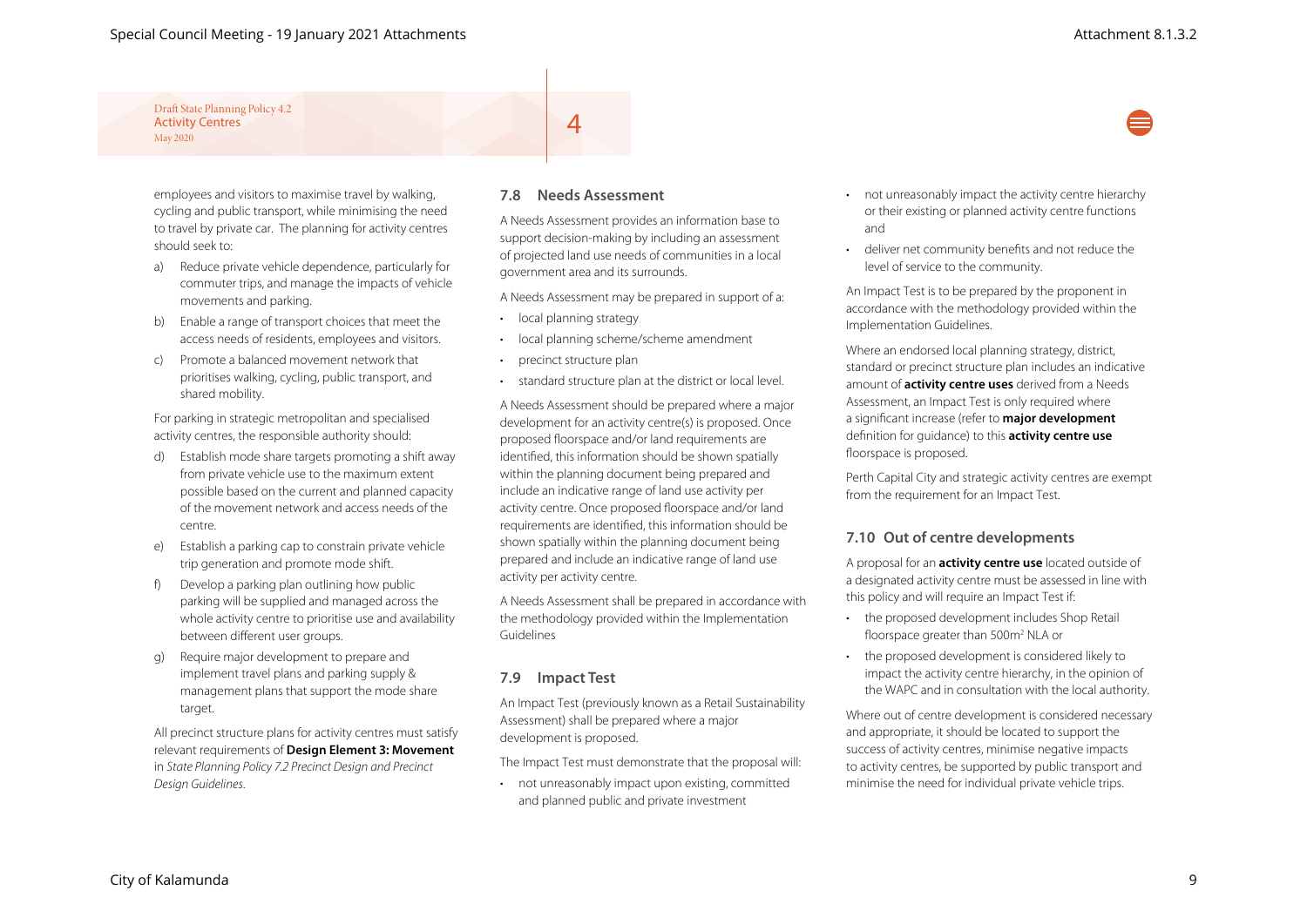employees and visitors to maximise travel by walking, cycling and public transport, while minimising the need to travel by private car. The planning for activity centres should seek to:

- a) Reduce private vehicle dependence, particularly for commuter trips, and manage the impacts of vehicle movements and parking.
- b) Enable a range of transport choices that meet the access needs of residents, employees and visitors.
- c) Promote a balanced movement network that prioritises walking, cycling, public transport, and shared mobility.

For parking in strategic metropolitan and specialised activity centres, the responsible authority should:

- d) Establish mode share targets promoting a shift away from private vehicle use to the maximum extent possible based on the current and planned capacity of the movement network and access needs of the centre.
- e) Establish a parking cap to constrain private vehicle trip generation and promote mode shift.
- f) Develop a parking plan outlining how public parking will be supplied and managed across the whole activity centre to prioritise use and availability between different user groups.
- g) Require major development to prepare and implement travel plans and parking supply & management plans that support the mode share target.

All precinct structure plans for activity centres must satisfy relevant requirements of **Design Element 3: Movement** in *State Planning Policy 7.2 Precinct Design and Precinct Design Guidelines*.

#### **7.8 Needs Assessment**

 $\overline{4}$ 

A Needs Assessment provides an information base to support decision-making by including an assessment of projected land use needs of communities in a local government area and its surrounds.

A Needs Assessment may be prepared in support of a:

- local planning strategy
- local planning scheme/scheme amendment
- precinct structure plan
- standard structure plan at the district or local level.

A Needs Assessment should be prepared where a major development for an activity centre(s) is proposed. Once proposed floorspace and/or land requirements are identified, this information should be shown spatially within the planning document being prepared and include an indicative range of land use activity per activity centre. Once proposed floorspace and/or land requirements are identified, this information should be shown spatially within the planning document being prepared and include an indicative range of land use activity per activity centre.

A Needs Assessment shall be prepared in accordance with the methodology provided within the Implementation Guidelines

#### **7.9 Impact Test**

An Impact Test (previously known as a Retail Sustainability Assessment) shall be prepared where a major development is proposed.

The Impact Test must demonstrate that the proposal will:

• not unreasonably impact upon existing, committed and planned public and private investment

- not unreasonably impact the activity centre hierarchy or their existing or planned activity centre functions and
- deliver net community benefits and not reduce the level of service to the community.

An Impact Test is to be prepared by the proponent in accordance with the methodology provided within the Implementation Guidelines.

Where an endorsed local planning strategy, district, standard or precinct structure plan includes an indicative amount of **activity centre uses** derived from a Needs Assessment, an Impact Test is only required where a significant increase (refer to **major development** definition for guidance) to this **activity centre use** floorspace is proposed.

Perth Capital City and strategic activity centres are exempt from the requirement for an Impact Test.

#### **7.10 Out of centre developments**

A proposal for an **activity centre use** located outside of a designated activity centre must be assessed in line with this policy and will require an Impact Test if:

- the proposed development includes Shop Retail floorspace greater than 500m<sup>2</sup> NLA or
- the proposed development is considered likely to impact the activity centre hierarchy, in the opinion of the WAPC and in consultation with the local authority.

Where out of centre development is considered necessary and appropriate, it should be located to support the success of activity centres, minimise negative impacts to activity centres, be supported by public transport and minimise the need for individual private vehicle trips.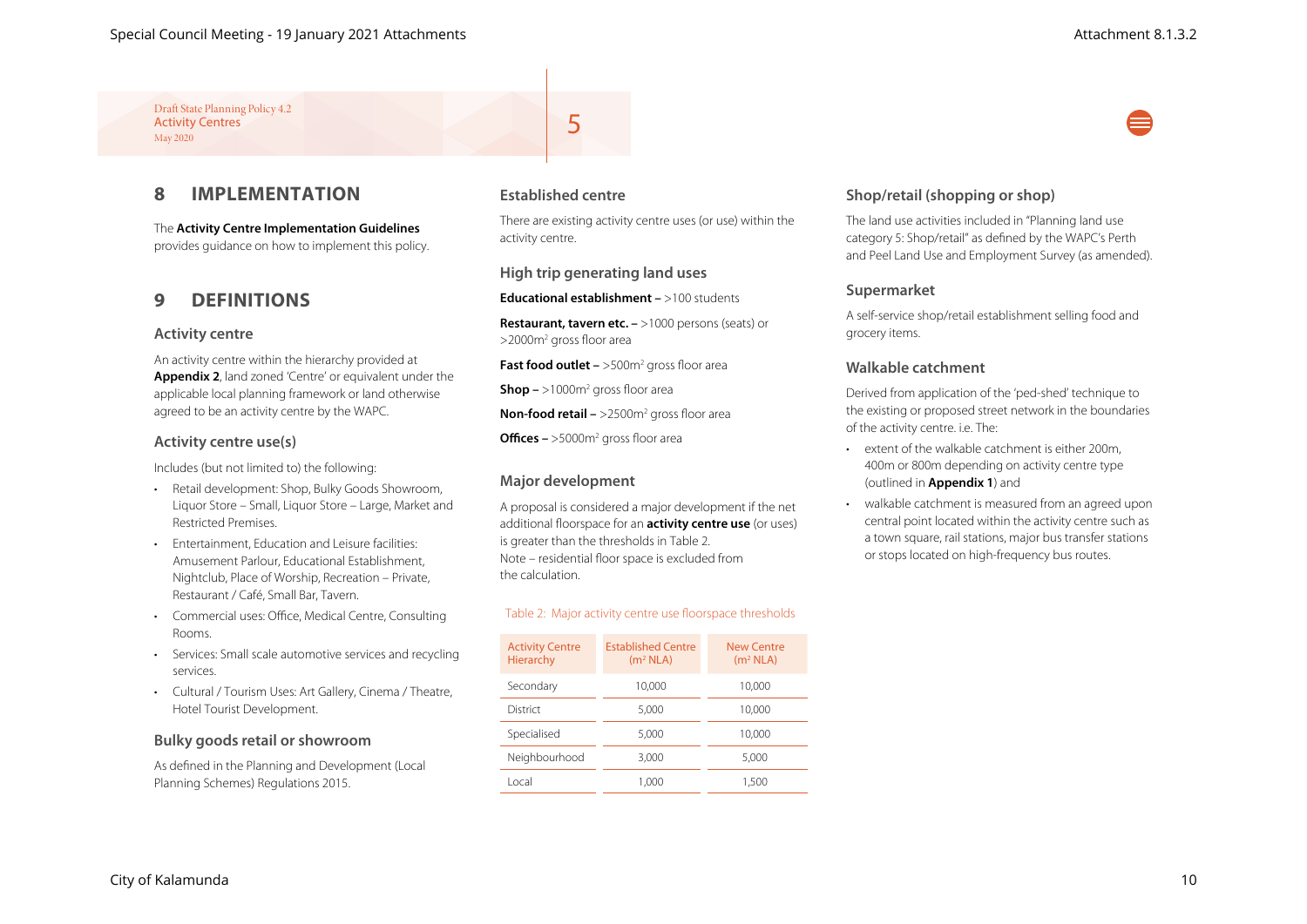### **8 IMPLEMENTATION**

The **Activity Centre Implementation Guidelines** provides guidance on how to implement this policy.

### **9 DEFINITIONS**

#### **Activity centre**

An activity centre within the hierarchy provided at **Appendix 2**, land zoned 'Centre' or equivalent under the applicable local planning framework or land otherwise agreed to be an activity centre by the WAPC.

#### **Activity centre use(s)**

Includes (but not limited to) the following:

- Retail development: Shop, Bulky Goods Showroom, Liquor Store – Small, Liquor Store – Large, Market and Restricted Premises.
- Entertainment, Education and Leisure facilities: Amusement Parlour, Educational Establishment, Nightclub, Place of Worship, Recreation – Private, Restaurant / Café, Small Bar, Tavern.
- Commercial uses: Office, Medical Centre, Consulting Rooms.
- Services: Small scale automotive services and recycling services.
- Cultural / Tourism Uses: Art Gallery, Cinema / Theatre, Hotel Tourist Development.

#### **Bulky goods retail or showroom**

As defined in the Planning and Development (Local Planning Schemes) Regulations 2015.

#### **Established centre**

5

There are existing activity centre uses (or use) within the activity centre.

#### **High trip generating land uses**

**Educational establishment –** >100 students

**Restaurant, tavern etc. –** >1000 persons (seats) or >2000m2 gross floor area

**Fast food outlet –** >500m<sup>2</sup> gross floor area

**Shop –** >1000m2 gross floor area

**Non-food retail –** >2500m<sup>2</sup> gross floor area

**Offices –** >5000m2 gross floor area

#### **Major development**

A proposal is considered a major development if the net additional floorspace for an **activity centre use** (or uses) is greater than the thresholds in Table 2. Note – residential floor space is excluded from the calculation.

#### Table 2: Major activity centre use floorspace thresholds

| <b>Activity Centre</b><br><b>Hierarchy</b> | <b>Established Centre</b><br>(m <sup>2</sup> NLA) | New Centre<br>(m <sup>2</sup> NLA) |  |  |
|--------------------------------------------|---------------------------------------------------|------------------------------------|--|--|
| Secondary                                  | 10.000                                            | 10.000                             |  |  |
| District                                   | 5.000                                             | 10,000                             |  |  |
| Specialised                                | 5.000                                             | 10.000                             |  |  |
| Neighbourhood                              | 3.000                                             | 5.000                              |  |  |
| Local                                      | 1.000                                             | 1.500                              |  |  |

#### **Shop/retail (shopping or shop)**

The land use activities included in "Planning land use category 5: Shop/retail" as defined by the WAPC's Perth and Peel Land Use and Employment Survey (as amended).

#### **Supermarket**

A self-service shop/retail establishment selling food and grocery items.

#### **Walkable catchment**

Derived from application of the 'ped-shed' technique to the existing or proposed street network in the boundaries of the activity centre. i.e. The:

- extent of the walkable catchment is either 200m, 400m or 800m depending on activity centre type (outlined in **Appendix 1**) and
- walkable catchment is measured from an agreed upon central point located within the activity centre such as a town square, rail stations, major bus transfer stations or stops located on high-frequency bus routes.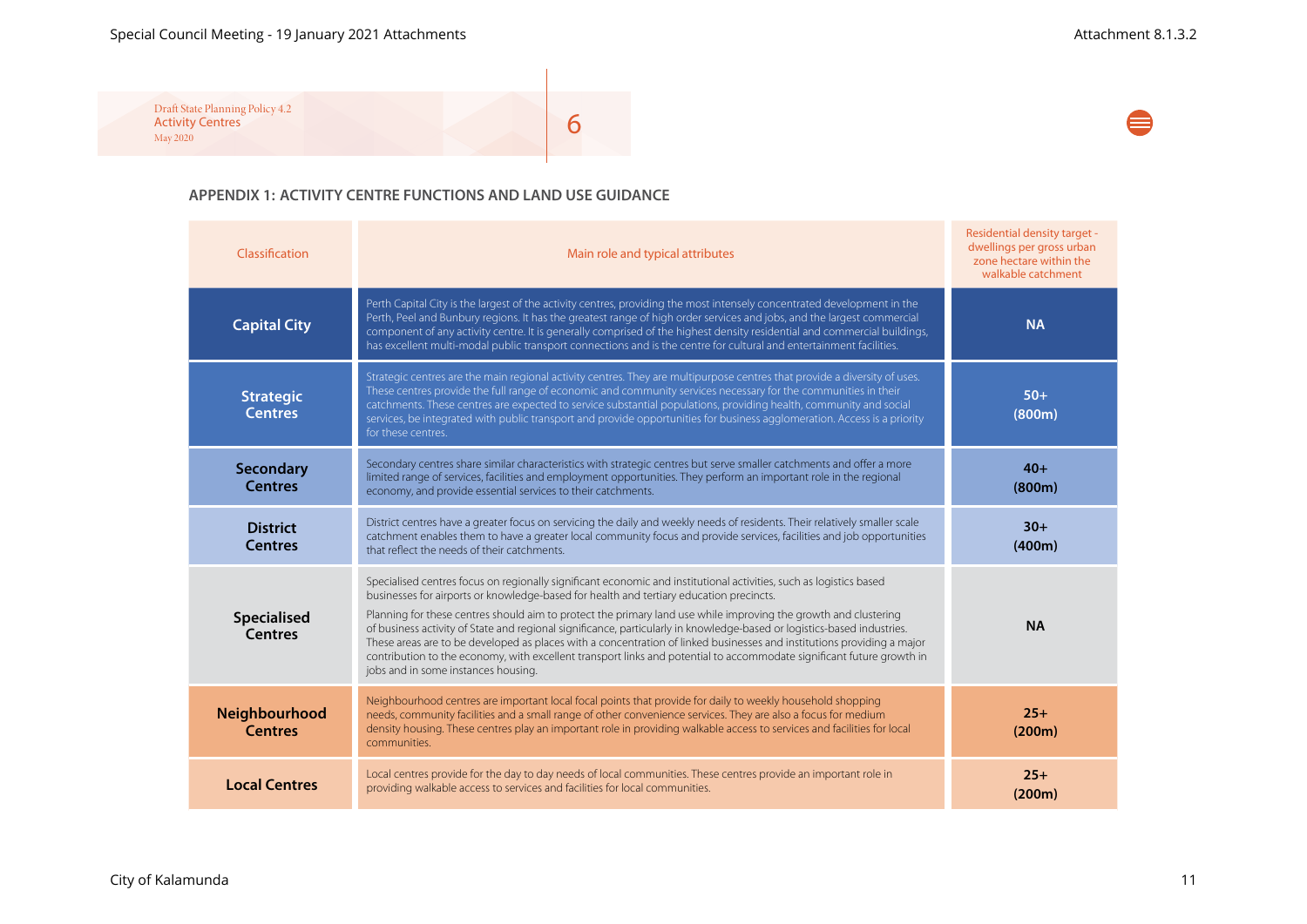### Special Council Meeting - 19 January 2021 Attachments Attachment 8.1.3.2

⊜

Draft State Planning Policy 4.2 Activity Centres May 2020

6

#### **APPENDIX 1: ACTIVITY CENTRE FUNCTIONS AND LAND USE GUIDANCE**

| Classification                     | Main role and typical attributes                                                                                                                                                                                                                                                                                                                                                                                                                                                                                                                                                                                                                                                                                                                      | Residential density target -<br>dwellings per gross urban<br>zone hectare within the<br>walkable catchment |
|------------------------------------|-------------------------------------------------------------------------------------------------------------------------------------------------------------------------------------------------------------------------------------------------------------------------------------------------------------------------------------------------------------------------------------------------------------------------------------------------------------------------------------------------------------------------------------------------------------------------------------------------------------------------------------------------------------------------------------------------------------------------------------------------------|------------------------------------------------------------------------------------------------------------|
| <b>Capital City</b>                | Perth Capital City is the largest of the activity centres, providing the most intensely concentrated development in the<br>Perth, Peel and Bunbury regions. It has the greatest range of high order services and jobs, and the largest commercial<br>component of any activity centre. It is generally comprised of the highest density residential and commercial buildings,<br>has excellent multi-modal public transport connections and is the centre for cultural and entertainment facilities.                                                                                                                                                                                                                                                  | <b>NA</b>                                                                                                  |
| <b>Strategic</b><br><b>Centres</b> | Strategic centres are the main regional activity centres. They are multipurpose centres that provide a diversity of uses.<br>These centres provide the full range of economic and community services necessary for the communities in their<br>catchments. These centres are expected to service substantial populations, providing health, community and social<br>services, be integrated with public transport and provide opportunities for business agglomeration. Access is a priority<br>for these centres.                                                                                                                                                                                                                                    | $50+$<br>(800m)                                                                                            |
| <b>Secondary</b><br><b>Centres</b> | Secondary centres share similar characteristics with strategic centres but serve smaller catchments and offer a more<br>limited range of services, facilities and employment opportunities. They perform an important role in the regional<br>economy, and provide essential services to their catchments.                                                                                                                                                                                                                                                                                                                                                                                                                                            | $40+$<br>(800m)                                                                                            |
| <b>District</b><br><b>Centres</b>  | District centres have a greater focus on servicing the daily and weekly needs of residents. Their relatively smaller scale<br>catchment enables them to have a greater local community focus and provide services, facilities and job opportunities<br>that reflect the needs of their catchments.                                                                                                                                                                                                                                                                                                                                                                                                                                                    | $30+$<br>(400m)                                                                                            |
| Specialised<br><b>Centres</b>      | Specialised centres focus on regionally significant economic and institutional activities, such as logistics based<br>businesses for airports or knowledge-based for health and tertiary education precincts.<br>Planning for these centres should aim to protect the primary land use while improving the growth and clustering<br>of business activity of State and regional significance, particularly in knowledge-based or logistics-based industries.<br>These areas are to be developed as places with a concentration of linked businesses and institutions providing a major<br>contribution to the economy, with excellent transport links and potential to accommodate significant future growth in<br>jobs and in some instances housing. | <b>NA</b>                                                                                                  |
| Neighbourhood<br><b>Centres</b>    | Neighbourhood centres are important local focal points that provide for daily to weekly household shopping<br>needs, community facilities and a small range of other convenience services. They are also a focus for medium<br>density housing. These centres play an important role in providing walkable access to services and facilities for local<br>communities.                                                                                                                                                                                                                                                                                                                                                                                | $25+$<br>(200m)                                                                                            |
| <b>Local Centres</b>               | Local centres provide for the day to day needs of local communities. These centres provide an important role in<br>providing walkable access to services and facilities for local communities.                                                                                                                                                                                                                                                                                                                                                                                                                                                                                                                                                        | $25+$<br>(200m)                                                                                            |